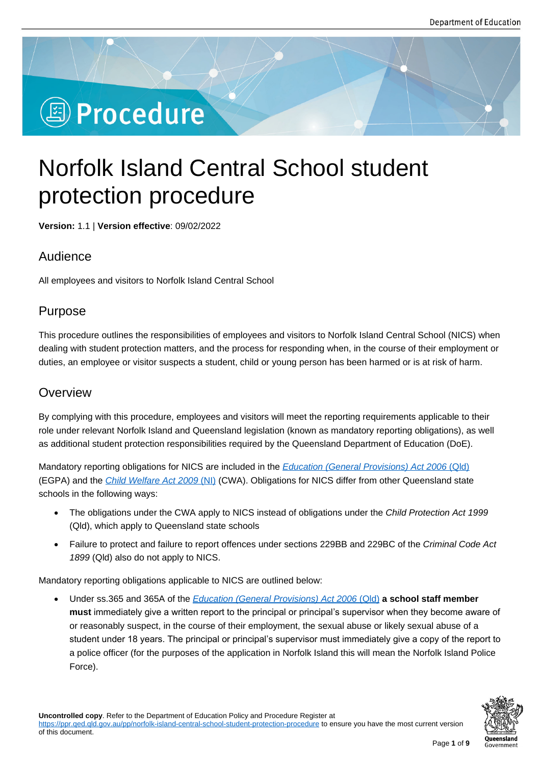# **Deprocedure**

# Norfolk Island Central School student protection procedure

**Version:** 1.1 | **Version effective**: 09/02/2022

# Audience

All employees and visitors to Norfolk Island Central School

# Purpose

This procedure outlines the responsibilities of employees and visitors to Norfolk Island Central School (NICS) when dealing with student protection matters, and the process for responding when, in the course of their employment or duties, an employee or visitor suspects a student, child or young person has been harmed or is at risk of harm.

### **Overview**

By complying with this procedure, employees and visitors will meet the reporting requirements applicable to their role under relevant Norfolk Island and Queensland legislation (known as mandatory reporting obligations), as well as additional student protection responsibilities required by the Queensland Department of Education (DoE).

Mandatory reporting obligations for NICS are included in the *Education (General Provisions) Act 2006* (Qld) (EGPA) and the *Child Welfare Act 2009* (NI) (CWA). Obligations for NICS differ from other Queensland state schools in the following ways:

- The obligations under the CWA apply to NICS instea[d of obligations under the](https://www.legislation.qld.gov.au/view/html/inforce/current/act-2006-039) *Child Protectio[n Act 1](https://www.legislation.qld.gov.au/view/html/inforce/current/act-2006-039)999* (Qld), w[hich apply to Queensland sta](https://www.legislation.gov.au/Details/C2018Q00071)te schools
- Failure to protect and failure to report offences under sections 229BB and 229BC of the *Criminal Code Act 1899* (Qld) also do not apply to NICS.

Mandatory reporting obligations applicable to NICS are outlined below:

 Under ss.365 and 365A of the *Education (General Provisions) Act 2006* (Qld) **a school staff member must** immediately give a written report to the principal or principal's supervisor when they become aware of or reasonably suspect, in the course of their employment, the sexual abuse or likely sexual abuse of a student under 18 years. The p[rincipal or principal's supervisor must immediate](https://www.legislation.qld.gov.au/view/html/inforce/current/act-2006-039)ly give a copy of the report to a police officer (for the purposes of the application in Norfolk Island this will mean the Norfolk Island Police Force).

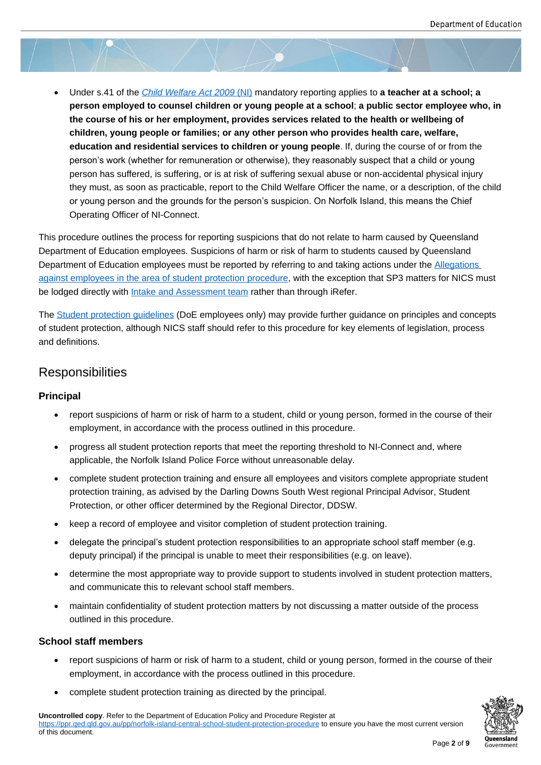Under s.41 of the *Child Welfare Act 2009* (NI) mandatory reporting applies to **a teacher at a school; a person employed to counsel children or young people at a school**; **a public sector employee who, in the course of his or her employment, provides services related to the health or wellbeing of children, young [people or families; or any o](https://www.legislation.gov.au/Details/C2018Q00071)ther person who provides health care, welfare, education and residential services to children or young people**. If, during the course of or from the person's work (whether for remuneration or otherwise), they reasonably suspect that a child or young person has suffered, is suffering, or is at risk of suffering sexual abuse or non-accidental physical injury they must, as soon as practicable, report to the Child Welfare Officer the name, or a description, of the child or young person and the grounds for the person's suspicion. On Norfolk Island, this means the Chief Operating Officer of NI-Connect.

This procedure outlines the process for reporting suspicions that do not relate to harm caused by Queensland Department of Education employees. Suspicions of harm or risk of harm to students caused by Queensland Department of Education employees must be reported by referring to and taking actions under the **Allegations** against employees in the area of student protection procedure, with the exception that SP3 matters for NICS must be lodged directly with Intake and Assessment team rather than through iRefer.

The **Student protection guidelines** (DoE employees only) may provide further guidance on principl[es and conce](https://ppr.qed.qld.gov.au/pp/allegations-against-employees-in-the-area-of-student-protection-procedure)pts [of student protection, although NICS staff should refer to this p](https://ppr.qed.qld.gov.au/pp/allegations-against-employees-in-the-area-of-student-protection-procedure)rocedure for key elements of legislation, process and definitions.

#### **Responsibilities**

#### **Principal**

- report suspicions of harm or risk of harm to a student, child or young person, formed in the course of their employment, in accordance with the process outlined in this procedure.
- progress all student protection reports that meet the reporting threshold to NI-Connect and, where applicable, the Norfolk Island Police Force without unreasonable delay.
- complete student protection training and ensure all employees and visitors complete appropriate student protection training, as advised by the Darling Downs South West regional Principal Advisor, Student Protection, or other officer determined by the Regional Director, DDSW.
- keep a record of employee and visitor completion of student protection training.
- delegate the principal's student protection responsibilities to an appropriate school staff member (e.g. deputy principal) if the principal is unable to meet their responsibilities (e.g. on leave).
- determine the most appropriate way to provide support to students involved in student protection matters, and communicate this to relevant school staff members.
- maintain confidentiality of student protection matters by not discussing a matter outside of the process outlined in this procedure.

#### **School staff members**

- report suspicions of harm or risk of harm to a student, child or young person, formed in the course of their employment, in accordance with the process outlined in this procedure.
- complete student protection training as directed by the principal.

**Uncontrolled copy**. Refer to the Department of Education Policy and Procedure Register at https://ppr.qed.qld.gov.au/pp/norfolk-island-central-school-student-protection-procedure to ensure you have the most current version of this document.

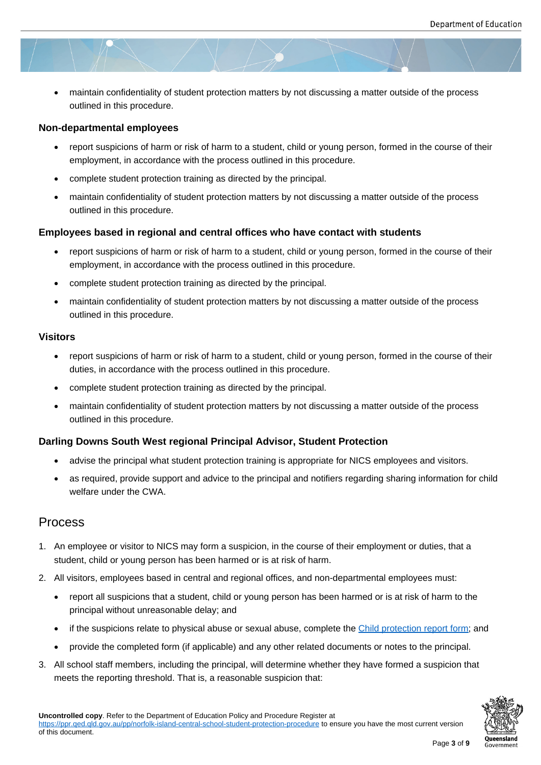maintain confidentiality of student protection matters by not discussing a matter outside of the process outlined in this procedure.

#### **Non-departmental employees**

- report suspicions of harm or risk of harm to a student, child or young person, formed in the course of their employment, in accordance with the process outlined in this procedure.
- complete student protection training as directed by the principal.
- maintain confidentiality of student protection matters by not discussing a matter outside of the process outlined in this procedure.

#### **Employees based in regional and central offices who have contact with students**

- report suspicions of harm or risk of harm to a student, child or young person, formed in the course of their employment, in accordance with the process outlined in this procedure.
- complete student protection training as directed by the principal.
- maintain confidentiality of student protection matters by not discussing a matter outside of the process outlined in this procedure.

#### **Visitors**

- report suspicions of harm or risk of harm to a student, child or young person, formed in the course of their duties, in accordance with the process outlined in this procedure.
- complete student protection training as directed by the principal.
- maintain confidentiality of student protection matters by not discussing a matter outside of the process outlined in this procedure.

#### **Darling Downs South West regional Principal Advisor, Student Protection**

- advise the principal what student protection training is appropriate for NICS employees and visitors.
- as required, provide support and advice to the principal and notifiers regarding sharing information for child welfare under the CWA.

#### Process

- 1. An employee or visitor to NICS may form a suspicion, in the course of their employment or duties, that a student, child or young person has been harmed or is at risk of harm.
- 2. All visitors, employees based in central and regional offices, and non-departmental employees must:
	- report all suspicions that a student, child or young person has been harmed or is at risk of harm to the principal without unreasonable delay; and
	- if the suspicions relate to physical abuse or sexual abuse, complete the Child protection report form; and
	- provide the completed form (if applicable) and any other related documents or notes to the principal.
- 3. All school staff members, including the principal, will determine whether the[y have formed a suspicion th](https://ppr.qed.qld.gov.au/attachment/child-protection-report-form-norfolk-island-central-school.docx)at meets the reporting threshold. That is, a reasonable suspicion that:

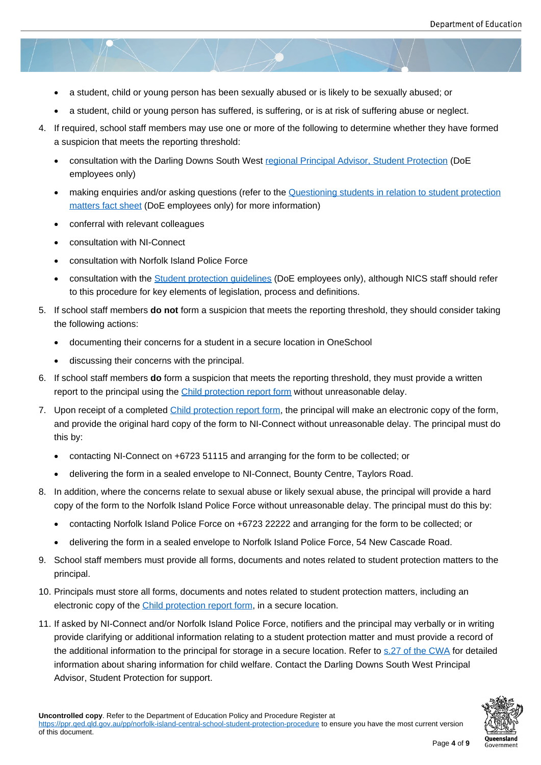- a student, child or young person has been sexually abused or is likely to be sexually abused; or
- a student, child or young person has suffered, is suffering, or is at risk of suffering abuse or neglect.
- 4. If required, school staff members may use one or more of the following to determine whether they have formed a suspicion that meets the reporting threshold:
	- consultation with the Darling Downs South West regional Principal Advisor, Student Protection (DoE employees only)
	- making enquiries and/or asking questions (refer to the Questioning students in relation to student protection matters fact sheet (DoE employees only) for mor[e information\)](https://intranet.qed.qld.gov.au/Students/studentprotection/Documents/principal-advisor-student-protection-role.docx)
	- conferral with relevant colleagues
	- [consultation with N](https://intranet.qed.qld.gov.au/Students/studentprotection/Documents/FAQ-questioning-students.DOCX)I-Connect
	- consultation with Norfolk Island Police Force
	- consultation with the Student protection guidelines (DoE employees only), although NICS staff should refer to this procedure for key elements of legislation, process and definitions.
- 5. If school staff members **do not** form a suspicion that meets the reporting threshold, they should consider taking the following actions:
	- documenting their concerns for a student in a secure location in OneSchool
	- discussing their concerns with the principal.
- 6. If school staff members **do** form a suspicion that meets the reporting threshold, they must provide a written report to the principal using the Child protection report form without unreasonable delay.
- 7. Upon receipt of a completed Child protection report form, the principal will make an electronic copy of the form, and provide the original hard copy of the form to NI-Connect without unreasonable delay. The principal must do this by:
	- contacting NI-Connect o[n +6723 51115 and arrangin](https://ppr.qed.qld.gov.au/attachment/child-protection-report-form-norfolk-island-central-school.docx)g for the form to be collected; or
	- delivering the form in a sealed envelope to NI-Connect, Bounty Centre, Taylors Road.
- 8. In addition, where the concerns relate to sexual abuse or likely sexual abuse, the principal will provide a hard copy of the form to the Norfolk Island Police Force without unreasonable delay. The principal must do this by:
	- contacting Norfolk Island Police Force on +6723 22222 and arranging for the form to be collected; or
	- delivering the form in a sealed envelope to Norfolk Island Police Force, 54 New Cascade Road.
- 9. School staff members must provide all forms, documents and notes related to student protection matters to the principal.
- 10. Principals must store all forms, documents and notes related to student protection matters, including an electronic copy of the Child protection report form, in a secure location.
- 11. If asked by NI-Connect and/or Norfolk Island Police Force, notifiers and the principal may verbally or in writing provide clarifying or additional information relating to a student protection matter and must provide a record of the additional informa[tion to the principal for stora](https://ppr.qed.qld.gov.au/attachment/child-protection-report-form-norfolk-island-central-school.docx)ge in a secure location. Refer to s.27 of the CWA for detailed information about sharing information for child welfare. Contact the Darling Downs South West Principal Advisor, Student Protection for support.

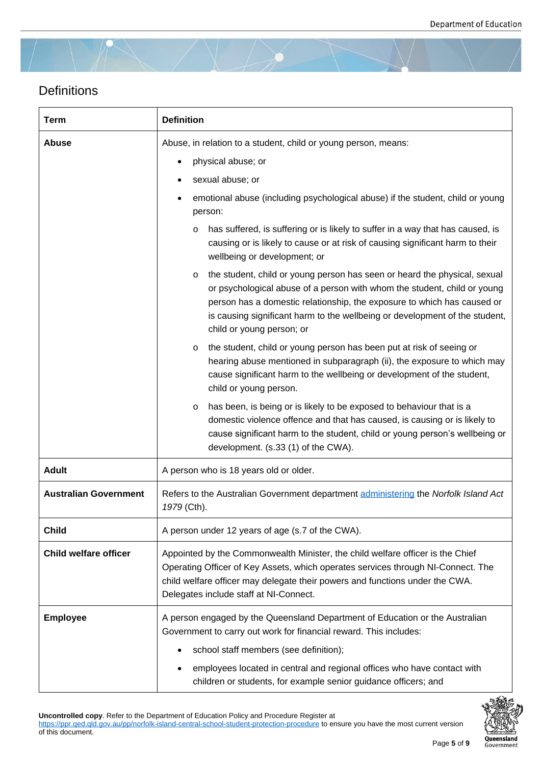# **Definitions**

| <b>Term</b>                  | <b>Definition</b>                                                                                                                                                                                                                                                                                                                                       |
|------------------------------|---------------------------------------------------------------------------------------------------------------------------------------------------------------------------------------------------------------------------------------------------------------------------------------------------------------------------------------------------------|
| Abuse                        | Abuse, in relation to a student, child or young person, means:                                                                                                                                                                                                                                                                                          |
|                              | physical abuse; or                                                                                                                                                                                                                                                                                                                                      |
|                              | sexual abuse; or                                                                                                                                                                                                                                                                                                                                        |
|                              | emotional abuse (including psychological abuse) if the student, child or young<br>person:                                                                                                                                                                                                                                                               |
|                              | has suffered, is suffering or is likely to suffer in a way that has caused, is<br>$\circ$<br>causing or is likely to cause or at risk of causing significant harm to their<br>wellbeing or development; or                                                                                                                                              |
|                              | the student, child or young person has seen or heard the physical, sexual<br>$\circ$<br>or psychological abuse of a person with whom the student, child or young<br>person has a domestic relationship, the exposure to which has caused or<br>is causing significant harm to the wellbeing or development of the student,<br>child or young person; or |
|                              | the student, child or young person has been put at risk of seeing or<br>O<br>hearing abuse mentioned in subparagraph (ii), the exposure to which may<br>cause significant harm to the wellbeing or development of the student,<br>child or young person.                                                                                                |
|                              | has been, is being or is likely to be exposed to behaviour that is a<br>$\circ$<br>domestic violence offence and that has caused, is causing or is likely to<br>cause significant harm to the student, child or young person's wellbeing or<br>development. (s.33 (1) of the CWA).                                                                      |
| <b>Adult</b>                 | A person who is 18 years old or older.                                                                                                                                                                                                                                                                                                                  |
| <b>Australian Government</b> | Refers to the Australian Government department administering the Norfolk Island Act<br>1979 (Cth).                                                                                                                                                                                                                                                      |
| <b>Child</b>                 | A person under 12 years of age (s.7 of the CWA).                                                                                                                                                                                                                                                                                                        |
| <b>Child welfare officer</b> | Appointed by the Commonwealth Minister, the child welfare officer is the Chief<br>Operating Officer of Key Assets, which operates services through NI-Connect. The<br>child welfare officer may delegate their powers and functions under the CWA.<br>Delegates include staff at NI-Connect.                                                            |
| <b>Employee</b>              | A person engaged by the Queensland Department of Education or the Australian<br>Government to carry out work for financial reward. This includes:                                                                                                                                                                                                       |
|                              | school staff members (see definition);                                                                                                                                                                                                                                                                                                                  |
|                              | employees located in central and regional offices who have contact with<br>children or students, for example senior guidance officers; and                                                                                                                                                                                                              |

**Uncontrolled copy**. Refer to the Department of Education Policy and Procedure Register at

https://ppr.qed.qld.gov.au/pp/norfolk-island-central-school-student-protection-procedure to ensure you have the most current version of this document.

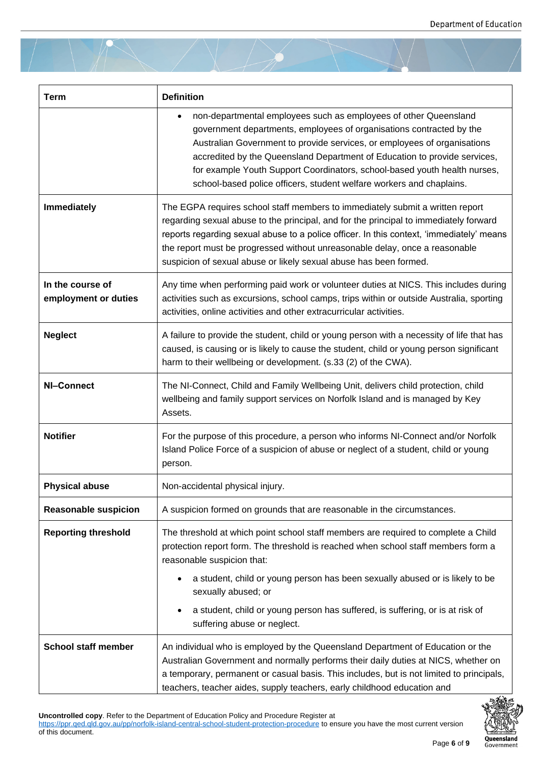| <b>Term</b>                              | <b>Definition</b>                                                                                                                                                                                                                                                                                                                                                                                                                                      |
|------------------------------------------|--------------------------------------------------------------------------------------------------------------------------------------------------------------------------------------------------------------------------------------------------------------------------------------------------------------------------------------------------------------------------------------------------------------------------------------------------------|
|                                          | non-departmental employees such as employees of other Queensland<br>government departments, employees of organisations contracted by the<br>Australian Government to provide services, or employees of organisations<br>accredited by the Queensland Department of Education to provide services,<br>for example Youth Support Coordinators, school-based youth health nurses,<br>school-based police officers, student welfare workers and chaplains. |
| Immediately                              | The EGPA requires school staff members to immediately submit a written report<br>regarding sexual abuse to the principal, and for the principal to immediately forward<br>reports regarding sexual abuse to a police officer. In this context, 'immediately' means<br>the report must be progressed without unreasonable delay, once a reasonable<br>suspicion of sexual abuse or likely sexual abuse has been formed.                                 |
| In the course of<br>employment or duties | Any time when performing paid work or volunteer duties at NICS. This includes during<br>activities such as excursions, school camps, trips within or outside Australia, sporting<br>activities, online activities and other extracurricular activities.                                                                                                                                                                                                |
| <b>Neglect</b>                           | A failure to provide the student, child or young person with a necessity of life that has<br>caused, is causing or is likely to cause the student, child or young person significant<br>harm to their wellbeing or development. (s.33 (2) of the CWA).                                                                                                                                                                                                 |
| NI-Connect                               | The NI-Connect, Child and Family Wellbeing Unit, delivers child protection, child<br>wellbeing and family support services on Norfolk Island and is managed by Key<br>Assets.                                                                                                                                                                                                                                                                          |
| <b>Notifier</b>                          | For the purpose of this procedure, a person who informs NI-Connect and/or Norfolk<br>Island Police Force of a suspicion of abuse or neglect of a student, child or young<br>person.                                                                                                                                                                                                                                                                    |
| <b>Physical abuse</b>                    | Non-accidental physical injury.                                                                                                                                                                                                                                                                                                                                                                                                                        |
| <b>Reasonable suspicion</b>              | A suspicion formed on grounds that are reasonable in the circumstances.                                                                                                                                                                                                                                                                                                                                                                                |
| <b>Reporting threshold</b>               | The threshold at which point school staff members are required to complete a Child<br>protection report form. The threshold is reached when school staff members form a<br>reasonable suspicion that:                                                                                                                                                                                                                                                  |
|                                          | a student, child or young person has been sexually abused or is likely to be<br>sexually abused; or                                                                                                                                                                                                                                                                                                                                                    |
|                                          | a student, child or young person has suffered, is suffering, or is at risk of<br>suffering abuse or neglect.                                                                                                                                                                                                                                                                                                                                           |
| <b>School staff member</b>               | An individual who is employed by the Queensland Department of Education or the<br>Australian Government and normally performs their daily duties at NICS, whether on<br>a temporary, permanent or casual basis. This includes, but is not limited to principals,<br>teachers, teacher aides, supply teachers, early childhood education and                                                                                                            |

**Uncontrolled copy**. Refer to the Department of Education Policy and Procedure Register at

https://ppr.qed.qld.gov.au/pp/norfolk-island-central-school-student-protection-procedure to ensure you have the most current version of this document.

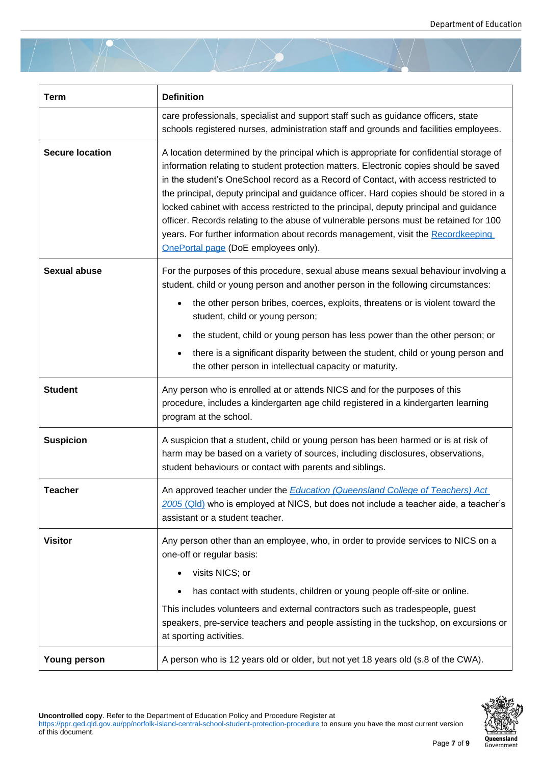| <b>Term</b>            | <b>Definition</b>                                                                                                                                                                                                                                                                                                                                                                                                                                                                                                                                                                                                                                                                |
|------------------------|----------------------------------------------------------------------------------------------------------------------------------------------------------------------------------------------------------------------------------------------------------------------------------------------------------------------------------------------------------------------------------------------------------------------------------------------------------------------------------------------------------------------------------------------------------------------------------------------------------------------------------------------------------------------------------|
|                        | care professionals, specialist and support staff such as guidance officers, state<br>schools registered nurses, administration staff and grounds and facilities employees.                                                                                                                                                                                                                                                                                                                                                                                                                                                                                                       |
| <b>Secure location</b> | A location determined by the principal which is appropriate for confidential storage of<br>information relating to student protection matters. Electronic copies should be saved<br>in the student's OneSchool record as a Record of Contact, with access restricted to<br>the principal, deputy principal and guidance officer. Hard copies should be stored in a<br>locked cabinet with access restricted to the principal, deputy principal and guidance<br>officer. Records relating to the abuse of vulnerable persons must be retained for 100<br>years. For further information about records management, visit the Recordkeeping<br>OnePortal page (DoE employees only). |
| <b>Sexual abuse</b>    | For the purposes of this procedure, sexual abuse means sexual behaviour involving a<br>student, child or young person and another person in the following circumstances:                                                                                                                                                                                                                                                                                                                                                                                                                                                                                                         |
|                        | the other person bribes, coerces, exploits, threatens or is violent toward the<br>student, child or young person;                                                                                                                                                                                                                                                                                                                                                                                                                                                                                                                                                                |
|                        | the student, child or young person has less power than the other person; or                                                                                                                                                                                                                                                                                                                                                                                                                                                                                                                                                                                                      |
|                        | there is a significant disparity between the student, child or young person and<br>the other person in intellectual capacity or maturity.                                                                                                                                                                                                                                                                                                                                                                                                                                                                                                                                        |
| <b>Student</b>         | Any person who is enrolled at or attends NICS and for the purposes of this<br>procedure, includes a kindergarten age child registered in a kindergarten learning<br>program at the school.                                                                                                                                                                                                                                                                                                                                                                                                                                                                                       |
| <b>Suspicion</b>       | A suspicion that a student, child or young person has been harmed or is at risk of<br>harm may be based on a variety of sources, including disclosures, observations,<br>student behaviours or contact with parents and siblings.                                                                                                                                                                                                                                                                                                                                                                                                                                                |
| <b>Teacher</b>         | An approved teacher under the <b>Education (Queensland College of Teachers) Act</b><br>2005 (Qld) who is employed at NICS, but does not include a teacher aide, a teacher's<br>assistant or a student teacher.                                                                                                                                                                                                                                                                                                                                                                                                                                                                   |
| <b>Visitor</b>         | Any person other than an employee, who, in order to provide services to NICS on a<br>one-off or regular basis:<br>visits NICS; or<br>has contact with students, children or young people off-site or online.<br>This includes volunteers and external contractors such as tradespeople, guest<br>speakers, pre-service teachers and people assisting in the tuckshop, on excursions or<br>at sporting activities.                                                                                                                                                                                                                                                                |
| <b>Young person</b>    | A person who is 12 years old or older, but not yet 18 years old (s.8 of the CWA).                                                                                                                                                                                                                                                                                                                                                                                                                                                                                                                                                                                                |

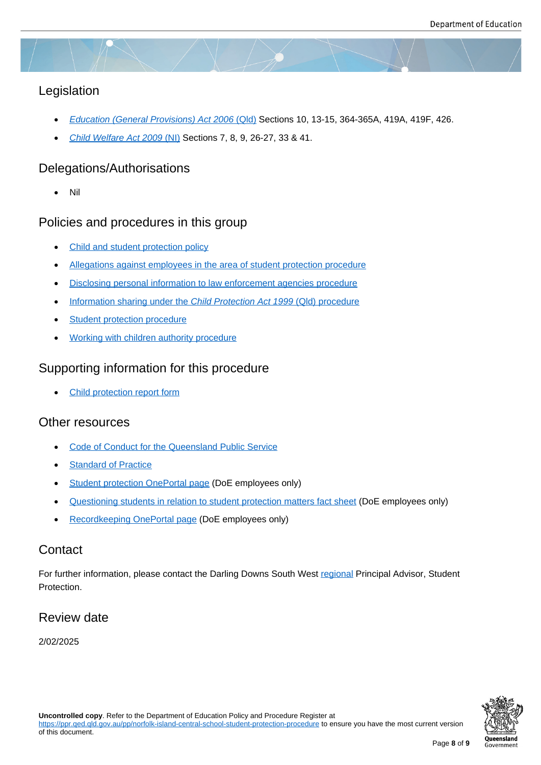# Legislation

- *Education (General Provisions) Act 2006* (Qld) Sections 10, 13-15, 364-365A, 419A, 419F, 426.
- *Child Welfare Act 2009* (NI) Sections 7, 8, 9, 26-27, 33 & 41.

#### Dele[gations/Authorisations](https://www.legislation.qld.gov.au/view/html/inforce/current/act-2006-039)

[Nil](https://www.legislation.gov.au/Details/C2018Q00071)

#### Policies and procedures in this group

- Child and student protection policy
- Allegations against employees in the area of student protection procedure
- **•** [Disclosing personal information to](https://ppr.qed.qld.gov.au/pp/child-and-student-protection-policy) law enforcement agencies procedure
- [Information sharing under the](https://ppr.qed.qld.gov.au/pp/allegations-against-employees-in-the-area-of-student-protection-procedure) *Child Protection Act 1999* (Qld) procedure
- **[Student protection procedure](https://ppr.qed.qld.gov.au/pp/disclosing-personal-information-to-law-enforcement-agencies-procedure)**
- [Working with children authority procedure](https://ppr.qed.qld.gov.au/pp/information-sharing-under-the-child-protection-act-1999-qld-procedure)

#### Supp[orting information for](https://ppr.qed.qld.gov.au/pp/student-protection-procedure) this procedure

[Child protection report form](https://ppr.qed.qld.gov.au/pp/working-with-children-authority-procedure)

#### Other resources

- [Code of Conduct for the Qu](https://ppr.qed.qld.gov.au/attachment/child-protection-report-form-norfolk-island-central-school.docx)eensland Public Service
- Standard of Practice
- [Student protection OnePortal page \(DoE employees](https://www.forgov.qld.gov.au/code-conduct-queensland-public-service) only)
- [Questioning students](https://qed.qld.gov.au/workingwithus/induction/workingforthedepartment/inductionandonboarding/Documents/code-of-conduct-standard-of-practice.pdf) in relation to student protection matters fact sheet (DoE employees only)
- [Recordkeeping OnePortal page \(Do](https://intranet.qed.qld.gov.au/Students/studentprotection/Pages/default.aspx)E employees only)

#### **Cont[act](https://intranet.qed.qld.gov.au/Students/studentprotection/Pages/Studentprotectiontraining.aspx)**

For furt[her information, please contact t](https://intranet.qed.qld.gov.au/Services/InformationTechnology/information-management/information-management-toolkit/recordkeeping/document-records-management)he Darling Downs South West regional Principal Advisor, Student Protection.

#### Review date

2/02/2025